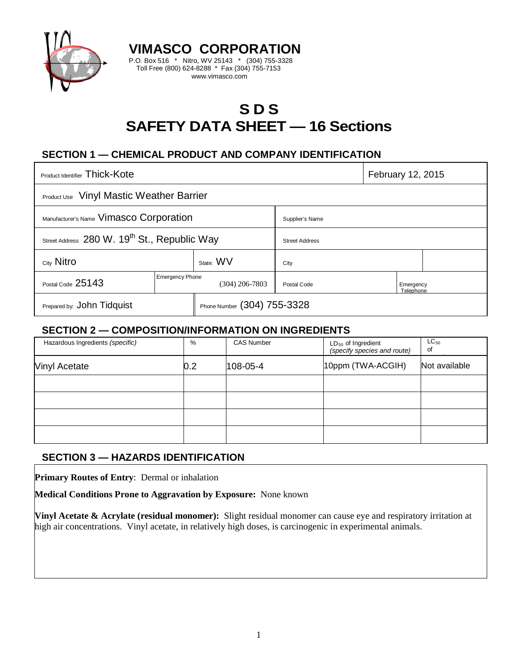

# **S D S SAFETY DATA SHEET — 16 Sections**

# **SECTION 1 — CHEMICAL PRODUCT AND COMPANY IDENTIFICATION**

**VIMASCO CORPORATION** P.O. Box 516 \* Nitro, WV 25143 \* (304) 755-3328 Toll Free (800) 624-8288 \* Fax (304) 755-7153 www.vimasco.com

| Product Identifier Thick-Kote                            |                        |                             |                       | February 12, 2015      |  |
|----------------------------------------------------------|------------------------|-----------------------------|-----------------------|------------------------|--|
| <b>Product Use</b> Vinyl Mastic Weather Barrier          |                        |                             |                       |                        |  |
| Manufacturer's Name Vimasco Corporation                  |                        |                             | Supplier's Name       |                        |  |
| Street Address 280 W. 19 <sup>th</sup> St., Republic Way |                        |                             | <b>Street Address</b> |                        |  |
| City Nitro                                               |                        | State: WV                   | City                  |                        |  |
| Postal Code 25143                                        | <b>Emergency Phone</b> | (304) 206-7803              | Postal Code           | Emergency<br>Telephone |  |
| Prepared by: John Tidquist                               |                        | Phone Number (304) 755-3328 |                       |                        |  |

#### **SECTION 2 — COMPOSITION/INFORMATION ON INGREDIENTS**

| Hazardous Ingredients (specific) | %   | <b>CAS Number</b> | $LD_{50}$ of Ingredient<br>(specify species and route) | $LC_{50}$<br>of |
|----------------------------------|-----|-------------------|--------------------------------------------------------|-----------------|
| Vinyl Acetate                    | 0.2 | $108 - 05 - 4$    | 10ppm (TWA-ACGIH)                                      | Not available   |
|                                  |     |                   |                                                        |                 |
|                                  |     |                   |                                                        |                 |
|                                  |     |                   |                                                        |                 |
|                                  |     |                   |                                                        |                 |

## **SECTION 3 — HAZARDS IDENTIFICATION**

**Primary Routes of Entry**: Dermal or inhalation

**Medical Conditions Prone to Aggravation by Exposure:** None known

**Vinyl Acetate & Acrylate (residual monomer):** Slight residual monomer can cause eye and respiratory irritation at high air concentrations. Vinyl acetate, in relatively high doses, is carcinogenic in experimental animals.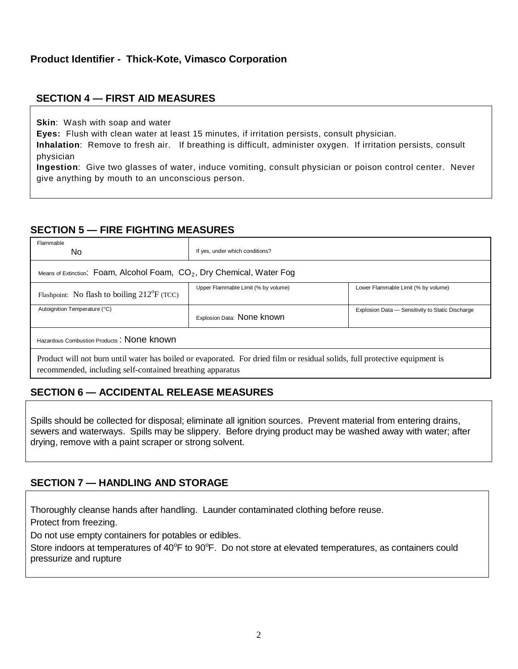#### **SECTION 4 — FIRST AID MEASURES**

**Skin**: Wash with soap and water

**Eyes:** Flush with clean water at least 15 minutes, if irritation persists, consult physician.

**Inhalation**: Remove to fresh air. If breathing is difficult, administer oxygen. If irritation persists, consult physician

**Ingestion**: Give two glasses of water, induce vomiting, consult physician or poison control center. Never give anything by mouth to an unconscious person.

## **SECTION 5 — FIRE FIGHTING MEASURES**

| Flammable<br>No.                                                                                                                                                                         | If yes, under which conditions?     |                                                  |  |  |  |  |
|------------------------------------------------------------------------------------------------------------------------------------------------------------------------------------------|-------------------------------------|--------------------------------------------------|--|--|--|--|
| Means of Extinction: Foam, Alcohol Foam, $CO2$ , Dry Chemical, Water Fog                                                                                                                 |                                     |                                                  |  |  |  |  |
| Flashpoint: No flash to boiling $212^{\circ}F$ (TCC)                                                                                                                                     | Upper Flammable Limit (% by volume) | Lower Flammable Limit (% by volume)              |  |  |  |  |
| Autoignition Temperature (°C)                                                                                                                                                            | Explosion Data: None known          | Explosion Data - Sensitivity to Static Discharge |  |  |  |  |
| Hazardous Combustion Products: None known                                                                                                                                                |                                     |                                                  |  |  |  |  |
| Product will not burn until water has boiled or evaporated. For dried film or residual solids, full protective equipment is<br>recommended, including self-contained breathing apparatus |                                     |                                                  |  |  |  |  |

# **SECTION 6 — ACCIDENTAL RELEASE MEASURES**

Spills should be collected for disposal; eliminate all ignition sources. Prevent material from entering drains, sewers and waterways. Spills may be slippery. Before drying product may be washed away with water; after drying, remove with a paint scraper or strong solvent.

## **SECTION 7 — HANDLING AND STORAGE**

Thoroughly cleanse hands after handling. Launder contaminated clothing before reuse.

Protect from freezing.

Do not use empty containers for potables or edibles.

Store indoors at temperatures of 40°F to 90°F. Do not store at elevated temperatures, as containers could pressurize and rupture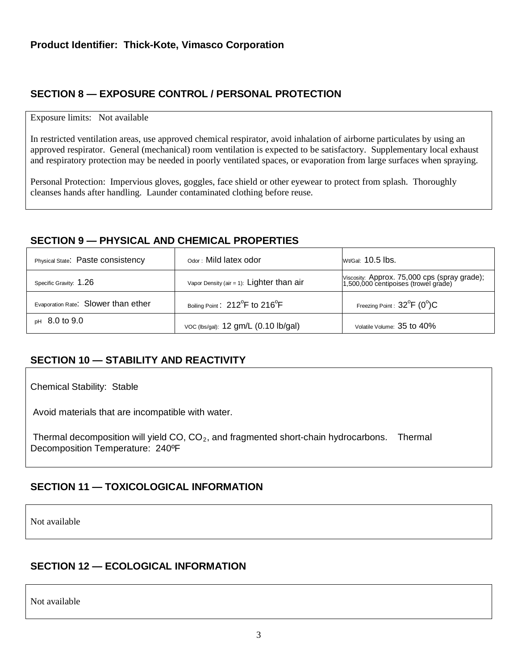# **SECTION 8 — EXPOSURE CONTROL / PERSONAL PROTECTION**

#### Exposure limits: Not available

In restricted ventilation areas, use approved chemical respirator, avoid inhalation of airborne particulates by using an approved respirator. General (mechanical) room ventilation is expected to be satisfactory. Supplementary local exhaust and respiratory protection may be needed in poorly ventilated spaces, or evaporation from large surfaces when spraying.

Personal Protection: Impervious gloves, goggles, face shield or other eyewear to protect from splash. Thoroughly cleanses hands after handling. Launder contaminated clothing before reuse.

## **SECTION 9 — PHYSICAL AND CHEMICAL PROPERTIES**

| Physical State: Paste consistency   | Odor: Mild latex odor                                   | Wt/Gal: 10.5 lbs.                                                                    |
|-------------------------------------|---------------------------------------------------------|--------------------------------------------------------------------------------------|
| Specific Gravity: 1.26              | Vapor Density (air = 1): $Lighter than air$             | Viscosity: Approx. 75,000 cps (spray grade);<br>1,500,000 centipoises (trowel grade) |
| Evaporation Rate: Slower than ether | Boiling Point: 212 <sup>°</sup> F to 216 <sup>°</sup> F | Freezing Point : $32^{\circ}F$ (0°)C                                                 |
| $pH$ 8.0 to 9.0                     | VOC (lbs/gal): 12 gm/L (0.10 lb/gal)                    | Volatile Volume: 35 to 40%                                                           |

# **SECTION 10 — STABILITY AND REACTIVITY**

Chemical Stability: Stable

Avoid materials that are incompatible with water.

Thermal decomposition will yield  $CO$ ,  $CO<sub>2</sub>$ , and fragmented short-chain hydrocarbons. Thermal Decomposition Temperature: 240ºF

# **SECTION 11 — TOXICOLOGICAL INFORMATION**

Not available

## **SECTION 12 — ECOLOGICAL INFORMATION**

Not available